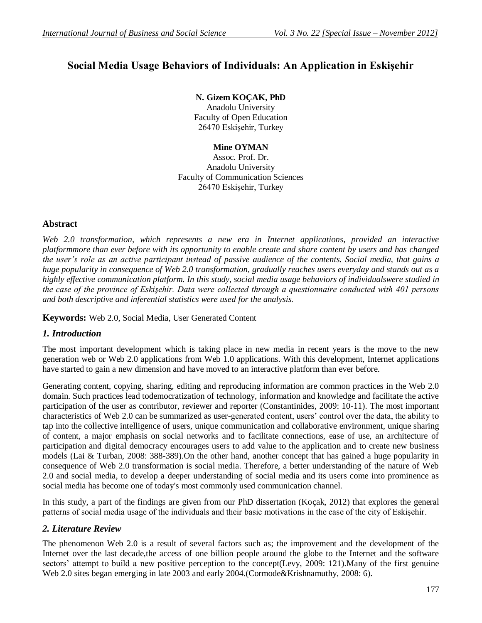# **Social Media Usage Behaviors of Individuals: An Application in Eskişehir**

# **N. Gizem KOÇAK, PhD**

Anadolu University Faculty of Open Education 26470 Eskişehir, Turkey

**Mine OYMAN** Assoc. Prof. Dr. Anadolu University Faculty of Communication Sciences 26470 Eskişehir, Turkey

## **Abstract**

*Web 2.0 transformation, which represents a new era in Internet applications, provided an interactive platformmore than ever before with its opportunity to enable create and share content by users and has changed the user's role as an active participant instead of passive audience of the contents. Social media, that gains a huge popularity in consequence of Web 2.0 transformation, gradually reaches users everyday and stands out as a highly effective communication platform. In this study, social media usage behaviors of individualswere studied in the case of the province of Eskişehir. Data were collected through a questionnaire conducted with 401 persons and both descriptive and inferential statistics were used for the analysis.*

**Keywords:** Web 2.0, Social Media, User Generated Content

# *1. Introduction*

The most important development which is taking place in new media in recent years is the move to the new generation web or Web 2.0 applications from Web 1.0 applications. With this development, Internet applications have started to gain a new dimension and have moved to an interactive platform than ever before.

Generating content, copying, sharing, editing and reproducing information are common practices in the Web 2.0 domain. Such practices lead todemocratization of technology, information and knowledge and facilitate the active participation of the user as contributor, reviewer and reporter (Constantinides, 2009: 10-11). The most important characteristics of Web 2.0 can be summarized as user-generated content, users' control over the data, the ability to tap into the collective intelligence of users, unique communication and collaborative environment, unique sharing of content, a major emphasis on social networks and to facilitate connections, ease of use, an architecture of participation and digital democracy encourages users to add value to the application and to create new business models (Lai & Turban, 2008: 388-389).On the other hand, another concept that has gained a huge popularity in consequence of Web 2.0 transformation is social media. Therefore, a better understanding of the nature of Web 2.0 and social media, to develop a deeper understanding of social media and its users come into prominence as social media has become one of today's most commonly used communication channel.

In this study, a part of the findings are given from our PhD dissertation (Koçak, 2012) that explores the general patterns of social media usage of the individuals and their basic motivations in the case of the city of Eskişehir.

# *2. Literature Review*

The phenomenon Web 2.0 is a result of several factors such as; the improvement and the development of the Internet over the last decade,the access of one billion people around the globe to the Internet and the software sectors' attempt to build a new positive perception to the concept(Levy, 2009: 121).Many of the first genuine Web 2.0 sites began emerging in late 2003 and early 2004.(Cormode&Krishnamuthy, 2008: 6).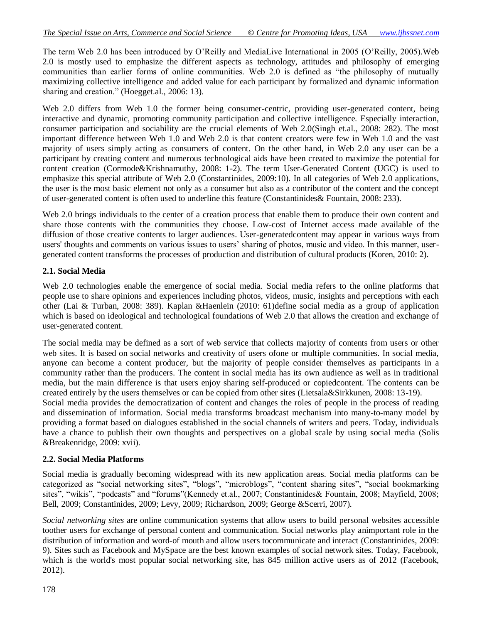The term Web 2.0 has been introduced by O'Reilly and MediaLive International in 2005 (O'Reilly, 2005).Web 2.0 is mostly used to emphasize the different aspects as technology, attitudes and philosophy of emerging communities than earlier forms of online communities. Web 2.0 is defined as "the philosophy of mutually maximizing collective intelligence and added value for each participant by formalized and dynamic information sharing and creation." (Hoegget.al., 2006: 13).

Web 2.0 differs from Web 1.0 the former being consumer-centric, providing user-generated content, being interactive and dynamic, promoting community participation and collective intelligence. Especially interaction, consumer participation and sociability are the crucial elements of Web 2.0(Singh et.al., 2008: 282). The most important difference between Web 1.0 and Web 2.0 is that content creators were few in Web 1.0 and the vast majority of users simply acting as consumers of content. On the other hand, in Web 2.0 any user can be a participant by creating content and numerous technological aids have been created to maximize the potential for content creation (Cormode&Krishnamuthy, 2008: 1-2). The term User-Generated Content (UGC) is used to emphasize this special attribute of Web 2.0 (Constantinides, 2009:10). In all categories of Web 2.0 applications, the user is the most basic element not only as a consumer but also as a contributor of the content and the concept of user-generated content is often used to underline this feature (Constantinides& Fountain, 2008: 233).

Web 2.0 brings individuals to the center of a creation process that enable them to produce their own content and share those contents with the communities they choose. Low-cost of Internet access made available of the diffusion of those creative contents to larger audiences. User-generatedcontent may appear in various ways from users' thoughts and comments on various issues to users' sharing of photos, music and video. In this manner, usergenerated content transforms the processes of production and distribution of cultural products (Koren, 2010: 2).

#### **2.1. Social Media**

Web 2.0 technologies enable the emergence of social media. Social media refers to the online platforms that people use to share opinions and experiences including photos, videos, music, insights and perceptions with each other (Lai & Turban, 2008: 389). Kaplan &Haenlein (2010: 61)define social media as a group of application which is based on ideological and technological foundations of Web 2.0 that allows the creation and exchange of user-generated content.

The social media may be defined as a sort of web service that collects majority of contents from users or other web sites. It is based on social networks and creativity of users ofone or multiple communities. In social media, anyone can become a content producer, but the majority of people consider themselves as participants in a community rather than the producers. The content in social media has its own audience as well as in traditional media, but the main difference is that users enjoy sharing self-produced or copiedcontent. The contents can be created entirely by the users themselves or can be copied from other sites (Lietsala&Sirkkunen, 2008: 13-19). Social media provides the democratization of content and changes the roles of people in the process of reading and dissemination of information. Social media transforms broadcast mechanism into many-to-many model by providing a format based on dialogues established in the social channels of writers and peers. Today, individuals have a chance to publish their own thoughts and perspectives on a global scale by using social media (Solis &Breakenridge, 2009: xvii).

#### **2.2. Social Media Platforms**

Social media is gradually becoming widespread with its new application areas. Social media platforms can be categorized as "social networking sites", "blogs", "microblogs", "content sharing sites", "social bookmarking sites", "wikis", "podcasts" and "forums"(Kennedy et.al., 2007; Constantinides& Fountain, 2008; Mayfield, 2008; Bell, 2009; Constantinides, 2009; Levy, 2009; Richardson, 2009; George &Scerri, 2007).

*Social networking sites* are online communication systems that allow users to build personal websites accessible toother users for exchange of personal content and communication. Social networks play animportant role in the distribution of information and word-of mouth and allow users tocommunicate and interact (Constantinides, 2009: 9). Sites such as Facebook and MySpace are the best known examples of social network sites. Today, Facebook, which is the world's most popular social networking site, has 845 million active users as of 2012 (Facebook, 2012).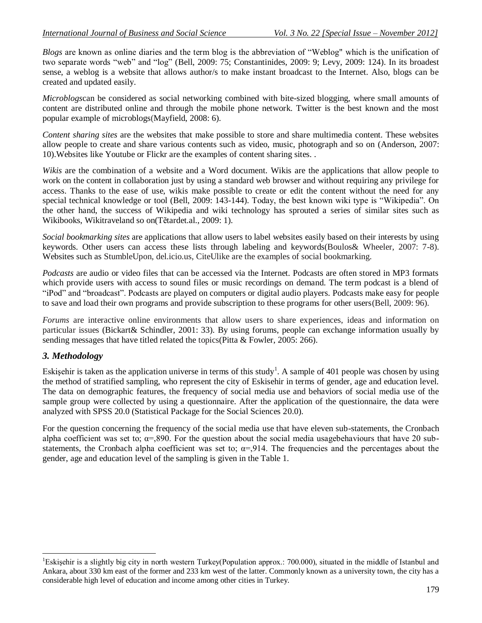*Blogs* are known as online diaries and the term blog is the abbreviation of "Weblog" which is the unification of two separate words "web" and "log" (Bell, 2009: 75; Constantinides, 2009: 9; Levy, 2009: 124). In its broadest sense, a weblog is a website that allows author/s to make instant broadcast to the Internet. Also, blogs can be created and updated easily.

*Microblogs*can be considered as social networking combined with bite-sized blogging, where small amounts of content are distributed online and through the mobile phone network. Twitter is the best known and the most popular example of microblogs(Mayfield, 2008: 6).

*Content sharing sites* are the websites that make possible to store and share multimedia content. These websites allow people to create and share various contents such as video, music, photograph and so on (Anderson, 2007: 10).Websites like Youtube or Flickr are the examples of content sharing sites. .

*Wikis* are the combination of a website and a Word document. Wikis are the applications that allow people to work on the content in collaboration just by using a standard web browser and without requiring any privilege for access. Thanks to the ease of use, wikis make possible to create or edit the content without the need for any special technical knowledge or tool (Bell, 2009: 143-144). Today, the best known wiki type is "Wikipedia". On the other hand, the success of Wikipedia and wiki technology has sprouted a series of similar sites such as Wikibooks, Wikitraveland so on(Tẽtardet.al., 2009: 1).

*Social bookmarking sites* are applications that allow users to label websites easily based on their interests by using keywords. Other users can access these lists through labeling and keywords(Boulos& Wheeler, 2007: 7-8). Websites such as StumbleUpon, del.icio.us, CiteUlike are the examples of social bookmarking.

*Podcasts* are audio or video files that can be accessed via the Internet. Podcasts are often stored in MP3 formats which provide users with access to sound files or music recordings on demand. The term podcast is a blend of "iPod" and "broadcast". Podcasts are played on computers or digital audio players. Podcasts make easy for people to save and load their own programs and provide subscription to these programs for other users(Bell, 2009: 96).

*Forums* are interactive online environments that allow users to share experiences, ideas and information on particular issues (Bickart& Schindler, 2001: 33). By using forums, people can exchange information usually by sending messages that have titled related the topics(Pitta & Fowler, 2005: 266).

#### *3. Methodology*

 $\overline{a}$ 

Eskişehir is taken as the application universe in terms of this study<sup>1</sup>. A sample of 401 people was chosen by using the method of stratified sampling, who represent the city of Eskisehir in terms of gender, age and education level. The data on demographic features, the frequency of social media use and behaviors of social media use of the sample group were collected by using a questionnaire. After the application of the questionnaire, the data were analyzed with SPSS 20.0 (Statistical Package for the Social Sciences 20.0).

For the question concerning the frequency of the social media use that have eleven sub-statements, the Cronbach alpha coefficient was set to;  $\alpha$ =,890. For the question about the social media usagebehaviours that have 20 substatements, the Cronbach alpha coefficient was set to;  $\alpha = 914$ . The frequencies and the percentages about the gender, age and education level of the sampling is given in the Table 1.

<sup>&</sup>lt;sup>1</sup>Eskisehir is a slightly big city in north western Turkey(Population approx.: 700.000), situated in the middle of Istanbul and Ankara, about 330 km east of the former and 233 km west of the latter. Commonly known as a university town, the city has a considerable high level of education and income among other cities in Turkey.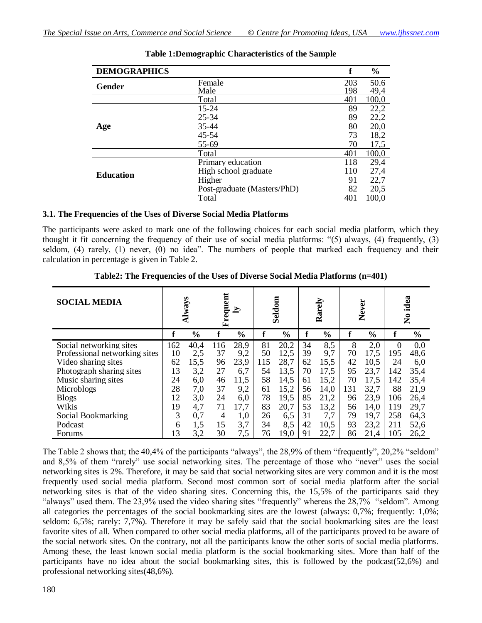| <b>DEMOGRAPHICS</b> |                             | f   | $\frac{0}{0}$ |
|---------------------|-----------------------------|-----|---------------|
| Gender              | Female                      | 203 | 50.6          |
|                     | Male                        | 198 | 49,4          |
|                     | Total                       | 401 | 100,0         |
|                     | $15 - 24$                   | 89  | 22,2          |
|                     | $25 - 34$                   | 89  | 22,2          |
| Age                 | 35-44                       | 80  | 20,0          |
|                     | 45-54                       | 73  | 18,2          |
|                     | 55-69                       | 70  | 17,5          |
|                     | Total                       | 401 | 100,0         |
|                     | Primary education           | 118 | 29,4          |
| <b>Education</b>    | High school graduate        | 110 | 27,4          |
|                     | Higher                      | 91  | 22,7          |
|                     | Post-graduate (Masters/PhD) | 82  | 20,5          |
|                     | Total                       | 401 | 100.0         |

#### **Table 1:Demographic Characteristics of the Sample**

#### **3.1. The Frequencies of the Uses of Diverse Social Media Platforms**

The participants were asked to mark one of the following choices for each social media platform, which they thought it fit concerning the frequency of their use of social media platforms: "(5) always, (4) frequently, (3) seldom, (4) rarely, (1) never, (0) no idea". The numbers of people that marked each frequency and their calculation in percentage is given in Table 2.

| <b>SOCIAL MEDIA</b>           |     | Always        | Frequent | $\mathbf{z}$  |     | Seldom        |    | Rarely        |     | Never         |          | idea<br>$\mathbf{\hat{z}}$ |
|-------------------------------|-----|---------------|----------|---------------|-----|---------------|----|---------------|-----|---------------|----------|----------------------------|
|                               | f   | $\frac{0}{0}$ |          | $\frac{0}{0}$ | f   | $\frac{0}{0}$ |    | $\frac{0}{0}$ |     | $\frac{0}{0}$ | f        | $\frac{6}{6}$              |
| Social networking sites       | 162 | 40,4          | 116      | 28,9          | 81  | 20,2          | 34 | 8.5           | 8   | 2,0           | $\Omega$ | 0.0                        |
| Professional networking sites | 10  | 2,5           | 37       | 9,2           | 50  | 12,5          | 39 | 9,7           | 70  | 17,5          | 195      | 48,6                       |
| Video sharing sites           | 62  | 15,5          | 96       | 23,9          | 115 | 28,7          | 62 | 15,5          | 42  | 10,5          | 24       | 6,0                        |
| Photograph sharing sites      | 13  | 3,2           | 27       | 6,7           | 54  | 13,5          | 70 | 17,5          | 95  | 23,7          | 142      | 35,4                       |
| Music sharing sites           | 24  | 6,0           | 46       | 11,5          | 58  | 14,5          | 61 | 15,2          | 70  | 17.5          | 142      | 35,4                       |
| Microblogs                    | 28  | 7,0           | 37       | 9,2           | 61  | 15,2          | 56 | 14,0          | 131 | 32,7          | 88       | 21,9                       |
| <b>Blogs</b>                  | 12  | 3,0           | 24       | 6,0           | 78  | 19,5          | 85 | 21,2          | 96  | 23,9          | 106      | 26,4                       |
| Wikis                         | 19  | 4,7           | 71       | 17,7          | 83  | 20,7          | 53 | 13,2          | 56  | 14,0          | 119      | 29,7                       |
| Social Bookmarking            | 3   | 0,7           | 4        | 1,0           | 26  | 6,5           | 31 | 7,7           | 79  | 19,7          | 258      | 64,3                       |
| Podcast                       | 6   | 1,5           | 15       | 3,7           | 34  | 8,5           | 42 | 10,5          | 93  | 23,2          | 211      | 52,6                       |
| Forums                        | 13  | 3,2           | 30       | 7,5           | 76  | 19,0          | 91 | 22,7          | 86  | 21,4          | 105      | 26,2                       |

**Table2: The Frequencies of the Uses of Diverse Social Media Platforms (n=401)**

The Table 2 shows that; the 40,4% of the participants "always", the 28,9% of them "frequently", 20,2% "seldom" and 8,5% of them "rarely" use social networking sites. The percentage of those who "never" uses the social networking sites is 2%. Therefore, it may be said that social networking sites are very common and it is the most frequently used social media platform. Second most common sort of social media platform after the social networking sites is that of the video sharing sites. Concerning this, the 15,5% of the participants said they "always" used them. The 23,9% used the video sharing sites "frequently" whereas the 28,7% "seldom". Among all categories the percentages of the social bookmarking sites are the lowest (always: 0,7%; frequently: 1,0%; seldom: 6,5%; rarely: 7,7%). Therefore it may be safely said that the social bookmarking sites are the least favorite sites of all. When compared to other social media platforms, all of the participants proved to be aware of the social network sites. On the contrary, not all the participants know the other sorts of social media platforms. Among these, the least known social media platform is the social bookmarking sites. More than half of the participants have no idea about the social bookmarking sites, this is followed by the podcast(52,6%) and professional networking sites(48,6%).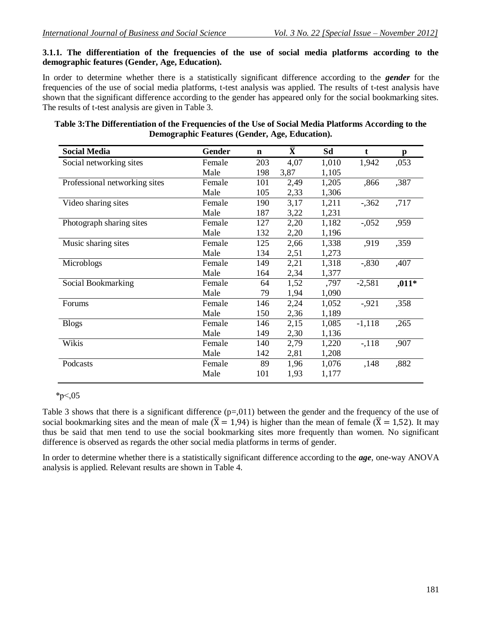## **3.1.1. The differentiation of the frequencies of the use of social media platforms according to the demographic features (Gender, Age, Education).**

In order to determine whether there is a statistically significant difference according to the *gender* for the frequencies of the use of social media platforms, t-test analysis was applied. The results of t-test analysis have shown that the significant difference according to the gender has appeared only for the social bookmarking sites. The results of t-test analysis are given in Table 3.

| <b>Social Media</b>           | Gender | $\mathbf n$ | $\bar{\textbf{X}}$ | Sd    | t        | p       |
|-------------------------------|--------|-------------|--------------------|-------|----------|---------|
| Social networking sites       | Female | 203         | 4,07               | 1,010 | 1,942    | ,053    |
|                               | Male   | 198         | 3,87               | 1,105 |          |         |
| Professional networking sites | Female | 101         | 2,49               | 1,205 | ,866     | ,387    |
|                               | Male   | 105         | 2,33               | 1,306 |          |         |
| Video sharing sites           | Female | 190         | 3,17               | 1,211 | $-362$   | ,717    |
|                               | Male   | 187         | 3,22               | 1,231 |          |         |
| Photograph sharing sites      | Female | 127         | 2,20               | 1,182 | $-.052$  | ,959    |
|                               | Male   | 132         | 2,20               | 1,196 |          |         |
| Music sharing sites           | Female | 125         | 2,66               | 1,338 | ,919     | ,359    |
|                               | Male   | 134         | 2,51               | 1,273 |          |         |
| Microblogs                    | Female | 149         | 2,21               | 1,318 | $-0.830$ | ,407    |
|                               | Male   | 164         | 2,34               | 1,377 |          |         |
| Social Bookmarking            | Female | 64          | 1,52               | ,797  | $-2,581$ | $,011*$ |
|                               | Male   | 79          | 1,94               | 1,090 |          |         |
| Forums                        | Female | 146         | 2,24               | 1,052 | $-0.921$ | ,358    |
|                               | Male   | 150         | 2,36               | 1,189 |          |         |
| <b>Blogs</b>                  | Female | 146         | 2,15               | 1,085 | $-1,118$ | ,265    |
|                               | Male   | 149         | 2,30               | 1,136 |          |         |
| Wikis                         | Female | 140         | 2,79               | 1,220 | $-118$   | ,907    |
|                               | Male   | 142         | 2,81               | 1,208 |          |         |
| Podcasts                      | Female | 89          | 1,96               | 1,076 | ,148     | ,882    |
|                               | Male   | 101         | 1,93               | 1,177 |          |         |
|                               |        |             |                    |       |          |         |

# **Table 3:The Differentiation of the Frequencies of the Use of Social Media Platforms According to the Demographic Features (Gender, Age, Education).**

 $*_{p \leq 0.05}$ 

Table 3 shows that there is a significant difference  $(p=011)$  between the gender and the frequency of the use of social bookmarking sites and the mean of male ( $\overline{X} = 1.94$ ) is higher than the mean of female ( $\overline{X} = 1.52$ ). It may thus be said that men tend to use the social bookmarking sites more frequently than women. No significant difference is observed as regards the other social media platforms in terms of gender.

In order to determine whether there is a statistically significant difference according to the *age*, one-way ANOVA analysis is applied. Relevant results are shown in Table 4.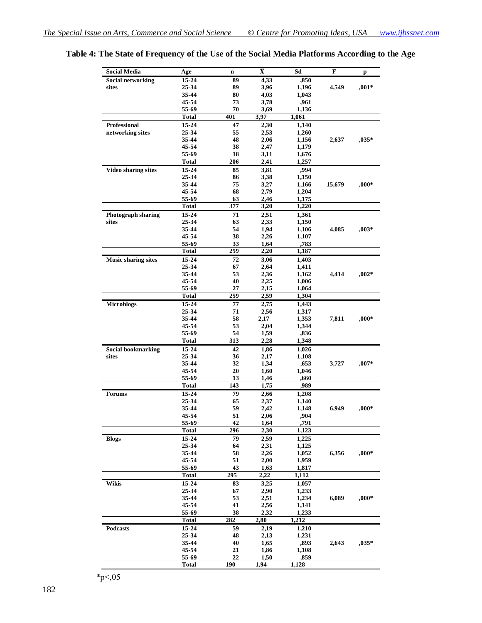| <b>Social Media</b>        | Age            | $\mathbf n$ | $\bar{\mathbf{X}}$ | Sd            | F      | p        |
|----------------------------|----------------|-------------|--------------------|---------------|--------|----------|
| Social networking          | 15-24          | 89          | 4,33               | ,850          |        |          |
| sites                      | 25-34          | 89          | 3,96               | 1,196         | 4,549  | $,001*$  |
|                            | 35-44          | 80          | 4,03               | 1,043         |        |          |
|                            | 45-54          | 73          | 3,78               | ,961          |        |          |
|                            | 55-69          | 70          | 3,69               | 1,136         |        |          |
|                            | <b>Total</b>   | 401         | 3,97               | 1,061         |        |          |
| <b>Professional</b>        | 15-24          | 47          | 2,30               | 1,140         |        |          |
| networking sites           | 25-34          | 55          | 2,53               | 1,260         |        |          |
|                            | 35-44          | 48          | 2,06               | 1,156         | 2,637  | $,035*$  |
|                            | 45-54          | 38          | 2,47               | 1,179         |        |          |
|                            | 55-69          | 18          | 3,11               | 1,676         |        |          |
|                            | <b>Total</b>   | 206         | 2,41               | 1,257         |        |          |
| <b>Video sharing sites</b> | 15-24          | 85          | 3,81               | ,994          |        |          |
|                            | 25-34          | 86          | 3,38               | 1,150         |        |          |
|                            | 35-44          | 75          | 3,27               | 1,166         | 15,679 | $000*$   |
|                            | 45-54          | 68          | 2,79               | 1,204         |        |          |
|                            | 55-69          | 63          | 2,46               | 1,175         |        |          |
|                            | <b>Total</b>   | 377         | 3,20               | 1,220         |        |          |
| <b>Photograph sharing</b>  | 15-24          | 71          | 2,51               | 1,361         |        |          |
| sites                      | 25-34          | 63          | 2,33               | 1,150         |        |          |
|                            | 35-44          | 54          | 1,94               | 1,106         | 4,085  | $,003*$  |
|                            | 45-54          | 38          | 2,26               | 1,107         |        |          |
|                            | 55-69          | 33          | 1,64               | ,783          |        |          |
|                            | <b>Total</b>   | 259         | 2,20               | 1,187         |        |          |
|                            |                |             |                    |               |        |          |
| <b>Music sharing sites</b> | 15-24          | 72          | 3,06               | 1,403         |        |          |
|                            | 25-34          | 67          | 2,64               | 1,411         |        |          |
|                            | 35-44          | 53          | 2,36               | 1,162         | 4,414  | $0.002*$ |
|                            | 45-54          | 40          | 2,25               | 1,006         |        |          |
|                            | 55-69          | 27          | 2,15               | 1,064         |        |          |
|                            | Total          | 259         | 2,59               | 1,304         |        |          |
| <b>Microblogs</b>          | 15-24          | 77          | 2,75               | 1,443         |        |          |
|                            | 25-34          | 71          | 2,56               | 1,317         |        |          |
|                            | 35-44          | 58          | 2,17               | 1,353         | 7,811  | $000*$   |
|                            | 45-54          | 53          | 2,04               | 1,344         |        |          |
|                            | 55-69          | 54          | 1,59               | ,836          |        |          |
|                            | <b>Total</b>   | 313         | 2,28               | 1,348         |        |          |
| <b>Social bookmarking</b>  | 15-24          | 42          | 1,86               | 1,026         |        |          |
| sites                      | 25-34          | 36          | 2,17               | 1,108         |        |          |
|                            | 35-44          | 32          | 1,34               | ,653          | 3,727  | $,007*$  |
|                            | 45-54          | 20          | 1,60               | 1,046         |        |          |
|                            | 55-69          | 13          | 1,46               | ,660          |        |          |
|                            | <b>Total</b>   | 143         | 1,75               | ,989          |        |          |
| Forums                     | 15-24          | 79          | 2,66               | 1,208         |        |          |
|                            | 25-34          | 65          | 2,37               | 1,140         |        |          |
|                            | 35-44          | 59          | 2,42               | 1,148         | 6,949  | $,000*$  |
|                            | 45-54          | 51          | 2,06               | ,904          |        |          |
|                            | 55-69          | 42          | 1,64               | ,791          |        |          |
|                            | <b>Total</b>   | 296         | 2,30               | 1,123         |        |          |
| <b>Blogs</b>               | 15-24          | 79          | 2,59               | 1,225         |        |          |
|                            | 25-34          | 64          | 2,31               | 1,125         |        |          |
|                            | 35-44          | 58          | 2,26               | 1,052         | 6,356  | $,000*$  |
|                            | 45-54          | 51          | 2,00               | 1,959         |        |          |
|                            | 55-69          | 43          | 1,63               | 1,817         |        |          |
|                            | <b>Total</b>   | 295         | 2,22               | 1,112         |        |          |
| Wikis                      | 15-24          | 83          | 3,25               | 1,057         |        |          |
|                            | 25-34          | 67          | 2,90               | 1,233         |        |          |
|                            | 35-44          | 53          | 2,51               | 1,234         | 6,089  | $,000*$  |
|                            | 45-54          | 41          | 2,56               | 1,141         |        |          |
|                            | 55-69          | 38          | 2,32               | 1,233         |        |          |
|                            | <b>Total</b>   | 282         | 2,80               | 1,212         |        |          |
|                            | 15-24          | 59          |                    |               |        |          |
| Podcasts                   | 25-34          | 48          | 2,19               | 1,210         |        |          |
|                            |                |             | 2,13               | 1,231         |        | $,035*$  |
|                            | 35-44          | 40          | 1,65               | ,893          | 2,643  |          |
|                            | 45-54<br>55-69 | 21<br>22    | 1,86<br>1,50       | 1,108<br>,859 |        |          |
|                            | <b>Total</b>   | 190         | 1,94               | 1,128         |        |          |
|                            |                |             |                    |               |        |          |

# **Table 4: The State of Frequency of the Use of the Social Media Platforms According to the Age**

 $*_{p<,05}$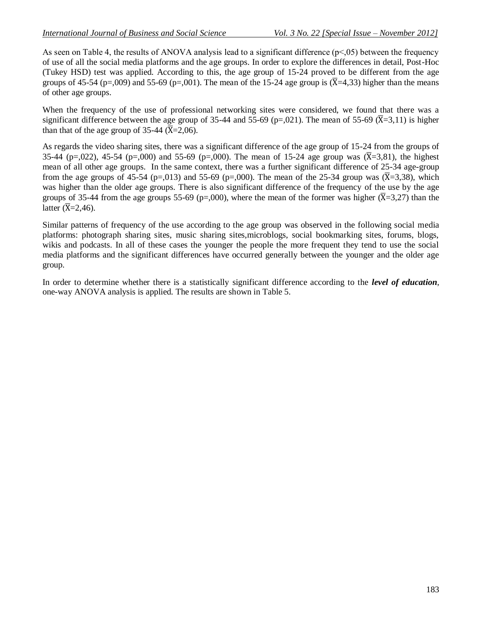As seen on Table 4, the results of ANOVA analysis lead to a significant difference (p<,05) between the frequency of use of all the social media platforms and the age groups. In order to explore the differences in detail, Post-Hoc (Tukey HSD) test was applied. According to this, the age group of 15-24 proved to be different from the age groups of 45-54 (p=,009) and 55-69 (p=,001). The mean of the 15-24 age group is  $(\overline{X}$ =4,33) higher than the means of other age groups.

When the frequency of the use of professional networking sites were considered, we found that there was a significant difference between the age group of 35-44 and 55-69 (p=,021). The mean of 55-69 ( $\overline{X}$ =3,11) is higher than that of the age group of 35-44 ( $\overline{X}$ =2,06).

As regards the video sharing sites, there was a significant difference of the age group of 15-24 from the groups of 35-44 (p=,022), 45-54 (p=,000) and 55-69 (p=,000). The mean of 15-24 age group was  $(\overline{X} = 3.81)$ , the highest mean of all other age groups. In the same context, there was a further significant difference of 25-34 age-group from the age groups of 45-54 (p=,013) and 55-69 (p=,000). The mean of the 25-34 group was  $(\overline{X}=3,38)$ , which was higher than the older age groups. There is also significant difference of the frequency of the use by the age groups of 35-44 from the age groups 55-69 (p=,000), where the mean of the former was higher ( $\overline{X}$ =3,27) than the latter  $(\overline{X}=2,46)$ .

Similar patterns of frequency of the use according to the age group was observed in the following social media platforms: photograph sharing sites, music sharing sites,microblogs, social bookmarking sites, forums, blogs, wikis and podcasts. In all of these cases the younger the people the more frequent they tend to use the social media platforms and the significant differences have occurred generally between the younger and the older age group.

In order to determine whether there is a statistically significant difference according to the *level of education*, one-way ANOVA analysis is applied. The results are shown in Table 5.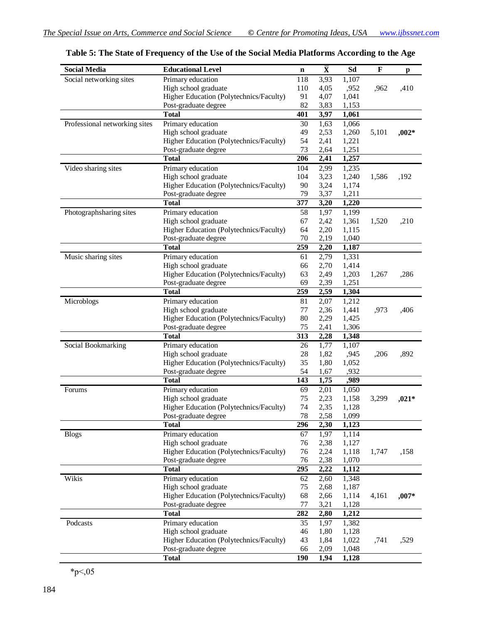| <b>Social Media</b>           | <b>Educational Level</b>                | $\mathbf n$ | $\bar{\mathbf{X}}$ | Sd    | $\mathbf F$ | p       |  |
|-------------------------------|-----------------------------------------|-------------|--------------------|-------|-------------|---------|--|
| Social networking sites       | Primary education                       | 118         | 3,93               | 1,107 |             |         |  |
|                               | High school graduate                    | 110         | 4,05               | ,952  | ,962        | ,410    |  |
|                               | Higher Education (Polytechnics/Faculty) | 91          | 4,07               | 1,041 |             |         |  |
|                               | Post-graduate degree                    | 82          | 3,83               | 1,153 |             |         |  |
|                               | <b>Total</b>                            | 401         | 3,97               | 1,061 |             |         |  |
| Professional networking sites | Primary education                       | 30          | 1,63               | 1,066 |             |         |  |
|                               | High school graduate                    | 49          | 2,53               | 1,260 | 5,101       | $,002*$ |  |
|                               | Higher Education (Polytechnics/Faculty) | 54          | 2,41               | 1,221 |             |         |  |
|                               | Post-graduate degree                    | 73          | 2,64               | 1,251 |             |         |  |
|                               | <b>Total</b>                            | 206         | 2,41               | 1,257 |             |         |  |
| Video sharing sites           | Primary education                       | 104         | 2,99               | 1,235 |             |         |  |
|                               | High school graduate                    | 104         | 3,23               | 1,240 | 1,586       | ,192    |  |
|                               | Higher Education (Polytechnics/Faculty) | 90          | 3,24               | 1,174 |             |         |  |
|                               | Post-graduate degree                    | 79          | 3,37               | 1,211 |             |         |  |
|                               | <b>Total</b>                            | 377         | 3,20               | 1,220 |             |         |  |
| Photographsharing sites       | Primary education                       | 58          | 1,97               | 1,199 |             |         |  |
|                               | High school graduate                    | 67          | 2,42               | 1,361 | 1,520       | ,210    |  |
|                               | Higher Education (Polytechnics/Faculty) | 64          | 2,20               | 1,115 |             |         |  |
|                               | Post-graduate degree                    | 70          | 2,19               | 1,040 |             |         |  |
|                               | <b>T</b> otal                           | 259         | 2,20               | 1,187 |             |         |  |
| Music sharing sites           | Primary education                       | 61          | 2,79               | 1,331 |             |         |  |
|                               | High school graduate                    | 66          | 2,70               | 1,414 |             |         |  |
|                               | Higher Education (Polytechnics/Faculty) | 63          | 2,49               | 1,203 | 1,267       | ,286    |  |
|                               | Post-graduate degree                    | 69          | 2,39               | 1,251 |             |         |  |
|                               | <b>Total</b>                            | 259         | 2,59               | 1,304 |             |         |  |
| Microblogs                    | Primary education                       | 81          | 2,07               | 1,212 |             |         |  |
|                               | High school graduate                    | 77          | 2,36               | 1,441 | ,973        | ,406    |  |
|                               | Higher Education (Polytechnics/Faculty) | 80          | 2,29               | 1,425 |             |         |  |
|                               | Post-graduate degree                    | 75          | 2,41               | 1,306 |             |         |  |
|                               | <b>Total</b>                            | 313         | 2,28               | 1,348 |             |         |  |
| Social Bookmarking            | Primary education                       | 26          | 1,77               | 1,107 |             |         |  |
|                               | High school graduate                    | 28          | 1,82               | ,945  | ,206        | ,892    |  |
|                               | Higher Education (Polytechnics/Faculty) | 35          | 1,80               | 1,052 |             |         |  |
|                               | Post-graduate degree                    | 54          | 1,67               | ,932  |             |         |  |
|                               | <b>Total</b>                            | 143         | 1,75               | ,989  |             |         |  |
| Forums                        | Primary education                       | 69          | 2,01               | 1,050 |             |         |  |
|                               | High school graduate                    | 75          | 2,23               | 1,158 | 3,299       | $,021*$ |  |
|                               | Higher Education (Polytechnics/Faculty) | 74          | 2,35               | 1,128 |             |         |  |
|                               | Post-graduate degree                    | 78          | 2,58               | 1,099 |             |         |  |
|                               | <b>Total</b>                            | 296         | 2,30               | 1,123 |             |         |  |
| <b>Blogs</b>                  | Primary education                       | 67          | 1,97               | 1,114 |             |         |  |
|                               | High school graduate                    | 76          | 2,38               | 1,127 |             |         |  |
|                               | Higher Education (Polytechnics/Faculty) | 76          | 2,24               | 1,118 | 1,747       | ,158    |  |
|                               | Post-graduate degree                    | 76          | 2,38               | 1,070 |             |         |  |
|                               | <b>Total</b>                            | 295         | 2,22               | 1,112 |             |         |  |
| Wikis                         | Primary education                       | 62          | 2,60               | 1,348 |             |         |  |
|                               | High school graduate                    | 75          | 2,68               | 1,187 |             |         |  |
|                               | Higher Education (Polytechnics/Faculty) | 68          | 2,66               | 1,114 | 4,161       | $,007*$ |  |
|                               | Post-graduate degree                    | 77          | 3,21               | 1,128 |             |         |  |
|                               | <b>Total</b>                            | 282         | 2,80               | 1,212 |             |         |  |
| Podcasts                      | Primary education                       | 35          | 1,97               | 1,382 |             |         |  |
|                               | High school graduate                    | 46          | 1,80               | 1,128 |             |         |  |
|                               | Higher Education (Polytechnics/Faculty) | 43          | 1,84               | 1,022 | ,741        | ,529    |  |
|                               | Post-graduate degree                    | 66          | 2,09               | 1,048 |             |         |  |
|                               | <b>Total</b>                            | 190         | 1,94               | 1,128 |             |         |  |

**Table 5: The State of Frequency of the Use of the Social Media Platforms According to the Age** 

 $*_{p<,05}$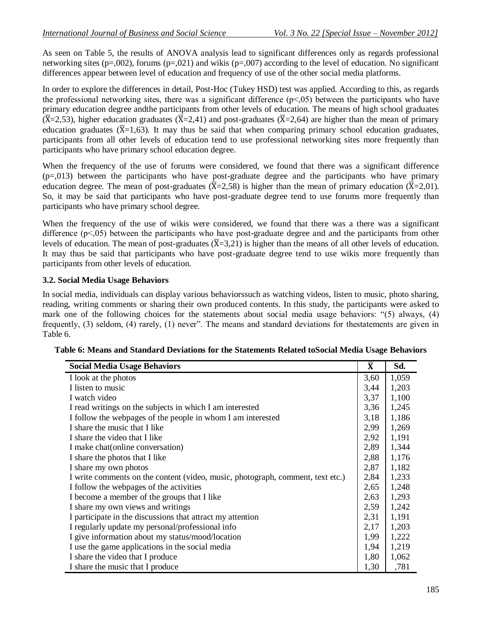As seen on Table 5, the results of ANOVA analysis lead to significant differences only as regards professional networking sites ( $p=0.002$ ), forums ( $p=0.021$ ) and wikis ( $p=0.007$ ) according to the level of education. No significant differences appear between level of education and frequency of use of the other social media platforms.

In order to explore the differences in detail, Post-Hoc (Tukey HSD) test was applied. According to this, as regards the professional networking sites, there was a significant difference  $(p<0.05)$  between the participants who have primary education degree andthe participants from other levels of education. The means of high school graduates  $(\overline{X} = 2.53)$ , higher education graduates  $(\overline{X} = 2.41)$  and post-graduates  $(\overline{X} = 2.64)$  are higher than the mean of primary education graduates ( $\overline{X}$ =1,63). It may thus be said that when comparing primary school education graduates, participants from all other levels of education tend to use professional networking sites more frequently than participants who have primary school education degree.

When the frequency of the use of forums were considered, we found that there was a significant difference  $(p=0.013)$  between the participants who have post-graduate degree and the participants who have primary education degree. The mean of post-graduates ( $\overline{X}$ =2,58) is higher than the mean of primary education ( $\overline{X}$ =2,01). So, it may be said that participants who have post-graduate degree tend to use forums more frequently than participants who have primary school degree.

When the frequency of the use of wikis were considered, we found that there was a there was a significant difference (p˂,05) between the participants who have post-graduate degree and and the participants from other levels of education. The mean of post-graduates  $(\overline{X} = 3.21)$  is higher than the means of all other levels of education. It may thus be said that participants who have post-graduate degree tend to use wikis more frequently than participants from other levels of education.

#### **3.2. Social Media Usage Behaviors**

In social media, individuals can display various behaviorssuch as watching videos, listen to music, photo sharing, reading, writing comments or sharing their own produced contents. In this study, the participants were asked to mark one of the following choices for the statements about social media usage behaviors: "(5) always, (4) frequently, (3) seldom, (4) rarely, (1) never". The means and standard deviations for thestatements are given in Table 6.

| <b>Social Media Usage Behaviors</b>                                            | $\bar{\mathbf{X}}$ | Sd.   |
|--------------------------------------------------------------------------------|--------------------|-------|
| I look at the photos                                                           | 3,60               | 1,059 |
| I listen to music                                                              | 3,44               | 1,203 |
| I watch video                                                                  | 3,37               | 1,100 |
| I read writings on the subjects in which I am interested                       | 3,36               | 1,245 |
| I follow the webpages of the people in whom I am interested                    | 3,18               | 1,186 |
| I share the music that I like                                                  | 2,99               | 1,269 |
| I share the video that I like                                                  | 2,92               | 1,191 |
| I make chat (online conversation)                                              | 2,89               | 1,344 |
| I share the photos that I like                                                 | 2,88               | 1,176 |
| I share my own photos                                                          | 2,87               | 1,182 |
| I write comments on the content (video, music, photograph, comment, text etc.) | 2,84               | 1,233 |
| I follow the webpages of the activities                                        | 2,65               | 1,248 |
| I become a member of the groups that I like                                    | 2,63               | 1,293 |
| I share my own views and writings                                              | 2,59               | 1,242 |
| I participate in the discussions that attract my attention                     | 2,31               | 1,191 |
| I regularly update my personal/professional info                               | 2,17               | 1,203 |
| I give information about my status/mood/location                               | 1,99               | 1,222 |
| I use the game applications in the social media                                | 1,94               | 1,219 |
| I share the video that I produce                                               | 1,80               | 1,062 |
| I share the music that I produce                                               | 1,30               | ,781  |

| Table 6: Means and Standard Deviations for the Statements Related toSocial Media Usage Behaviors |  |  |
|--------------------------------------------------------------------------------------------------|--|--|
|--------------------------------------------------------------------------------------------------|--|--|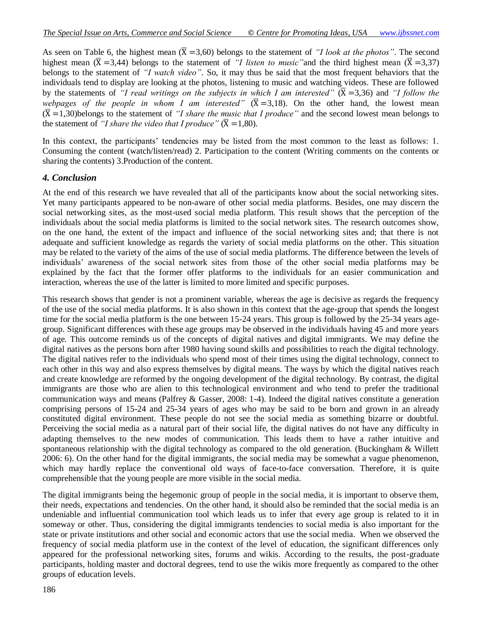As seen on Table 6, the highest mean  $(\overline{X} = 3,60)$  belongs to the statement of *"I look at the photos"*. The second highest mean ( $\overline{X}$  =3,44) belongs to the statement of *"I listen to music"* and the third highest mean ( $\overline{X}$  =3,37) belongs to the statement of *"I watch video"*. So, it may thus be said that the most frequent behaviors that the individuals tend to display are looking at the photos, listening to music and watching videos. These are followed by the statements of *"I read writings on the subjects in which I am interested"*  $(\overline{X} = 3,36)$  and *"I follow the webpages of the people in whom I am interested"*  $(\overline{X} = 3.18)$ . On the other hand, the lowest mean  $(\overline{X} = 1,30)$ belongs to the statement of *"I share the music that I produce"* and the second lowest mean belongs to the statement of *"I share the video that I produce"*  $(\overline{X} = 1,80)$ .

In this context, the participants' tendencies may be listed from the most common to the least as follows: 1. Consuming the content (watch/listen/read) 2. Participation to the content (Writing comments on the contents or sharing the contents) 3.Production of the content.

#### *4. Conclusion*

At the end of this research we have revealed that all of the participants know about the social networking sites. Yet many participants appeared to be non-aware of other social media platforms. Besides, one may discern the social networking sites, as the most-used social media platform. This result shows that the perception of the individuals about the social media platforms is limited to the social network sites. The research outcomes show, on the one hand, the extent of the impact and influence of the social networking sites and; that there is not adequate and sufficient knowledge as regards the variety of social media platforms on the other. This situation may be related to the variety of the aims of the use of social media platforms. The difference between the levels of individuals' awareness of the social network sites from those of the other social media platforms may be explained by the fact that the former offer platforms to the individuals for an easier communication and interaction, whereas the use of the latter is limited to more limited and specific purposes.

This research shows that gender is not a prominent variable, whereas the age is decisive as regards the frequency of the use of the social media platforms. It is also shown in this context that the age-group that spends the longest time for the social media platform is the one between 15-24 years. This group is followed by the 25-34 years agegroup. Significant differences with these age groups may be observed in the individuals having 45 and more years of age. This outcome reminds us of the concepts of digital natives and digital immigrants. We may define the digital natives as the persons born after 1980 having sound skills and possibilities to reach the digital technology. The digital natives refer to the individuals who spend most of their times using the digital technology, connect to each other in this way and also express themselves by digital means. The ways by which the digital natives reach and create knowledge are reformed by the ongoing development of the digital technology. By contrast, the digital immigrants are those who are alien to this technological environment and who tend to prefer the traditional communication ways and means (Palfrey & Gasser, 2008: 1-4). Indeed the digital natives constitute a generation comprising persons of 15-24 and 25-34 years of ages who may be said to be born and grown in an already constituted digital environment. These people do not see the social media as something bizarre or doubtful. Perceiving the social media as a natural part of their social life, the digital natives do not have any difficulty in adapting themselves to the new modes of communication. This leads them to have a rather intuitive and spontaneous relationship with the digital technology as compared to the old generation. (Buckingham & Willett 2006: 6). On the other hand for the digital immigrants, the social media may be somewhat a vague phenomenon, which may hardly replace the conventional old ways of face-to-face conversation. Therefore, it is quite comprehensible that the young people are more visible in the social media.

The digital immigrants being the hegemonic group of people in the social media, it is important to observe them, their needs, expectations and tendencies. On the other hand, it should also be reminded that the social media is an undeniable and influential communication tool which leads us to infer that every age group is related to it in someway or other. Thus, considering the digital immigrants tendencies to social media is also important for the state or private institutions and other social and economic actors that use the social media. When we observed the frequency of social media platform use in the context of the level of education, the significant differences only appeared for the professional networking sites, forums and wikis. According to the results, the post-graduate participants, holding master and doctoral degrees, tend to use the wikis more frequently as compared to the other groups of education levels.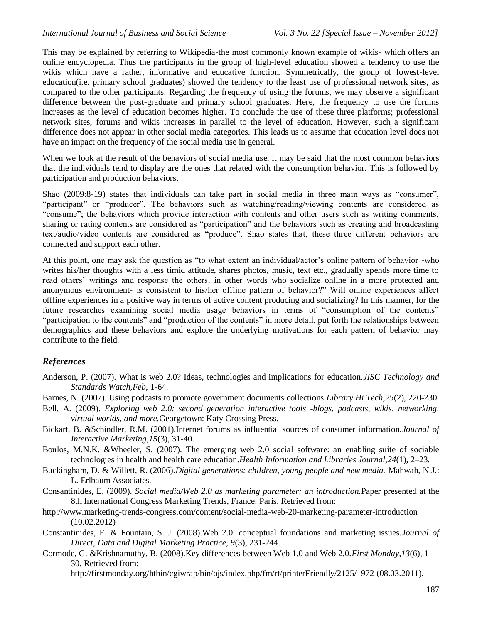This may be explained by referring to Wikipedia-the most commonly known example of wikis- which offers an online encyclopedia. Thus the participants in the group of high-level education showed a tendency to use the wikis which have a rather, informative and educative function. Symmetrically, the group of lowest-level education(i.e. primary school graduates) showed the tendency to the least use of professional network sites, as compared to the other participants. Regarding the frequency of using the forums, we may observe a significant difference between the post-graduate and primary school graduates. Here, the frequency to use the forums increases as the level of education becomes higher. To conclude the use of these three platforms; professional network sites, forums and wikis increases in parallel to the level of education. However, such a significant difference does not appear in other social media categories. This leads us to assume that education level does not have an impact on the frequency of the social media use in general.

When we look at the result of the behaviors of social media use, it may be said that the most common behaviors that the individuals tend to display are the ones that related with the consumption behavior. This is followed by participation and production behaviors.

Shao (2009:8-19) states that individuals can take part in social media in three main ways as "consumer", "participant" or "producer". The behaviors such as watching/reading/viewing contents are considered as "consume"; the behaviors which provide interaction with contents and other users such as writing comments, sharing or rating contents are considered as "participation" and the behaviors such as creating and broadcasting text/audio/video contents are considered as "produce". Shao states that, these three different behaviors are connected and support each other.

At this point, one may ask the question as "to what extent an individual/actor's online pattern of behavior -who writes his/her thoughts with a less timid attitude, shares photos, music, text etc., gradually spends more time to read others' writings and response the others, in other words who socialize online in a more protected and anonymous environment- is consistent to his/her offline pattern of behavior?" Will online experiences affect offline experiences in a positive way in terms of active content producing and socializing? In this manner, for the future researches examining social media usage behaviors in terms of "consumption of the contents" "participation to the contents" and "production of the contents" in more detail, put forth the relationships between demographics and these behaviors and explore the underlying motivations for each pattern of behavior may contribute to the field.

#### *References*

- Anderson, P. (2007). What is web 2.0? Ideas, technologies and implications for education.*JISC Technology and Standards Watch,Feb,* 1-64.
- Barnes, N. (2007). Using podcasts to promote government documents collections.*Library Hi Tech,25*(2), 220-230.
- Bell, A. (2009). *Exploring web 2.0: second generation interactive tools -blogs, podcasts, wikis, networking, virtual worlds, and more.*Georgetown: Katy Crossing Press.
- Bickart, B. &Schindler, R.M. (2001).Internet forums as influential sources of consumer information.*Journal of Interactive Marketing,15*(3), 31-40.
- Boulos, M.N.K. &Wheeler, S. (2007). The emerging web 2.0 social software: an enabling suite of sociable technologies in health and health care education.*Health Information and Libraries Journal,24*(1), 2–23.
- Buckingham, D. & Willett, R. (2006).*Digital generations: children, young people and new media.* Mahwah, N.J.: L. Erlbaum Associates.
- Consantinides, E. (2009). *Social media/Web 2.0 as marketing parameter: an introduction.*Paper presented at the 8th International Congress Marketing Trends, France: Paris. Retrieved from:
- <http://www.marketing-trends-congress.com/content/social-media-web-20-marketing-parameter-introduction> (10.02.2012)
- Constantinides, E. & Fountain, S. J. (2008).Web 2.0: conceptual foundations and marketing issues.*Journal of Direct, Data and Digital Marketing Practice, 9*(3), 231-244.
- Cormode, G. &Krishnamuthy, B. (2008).Key differences between Web 1.0 and Web 2.0.*First Monday,13*(6), 1- 30. Retrieved from:

<http://firstmonday.org/htbin/cgiwrap/bin/ojs/index.php/fm/rt/printerFriendly/2125/1972> (08.03.2011).